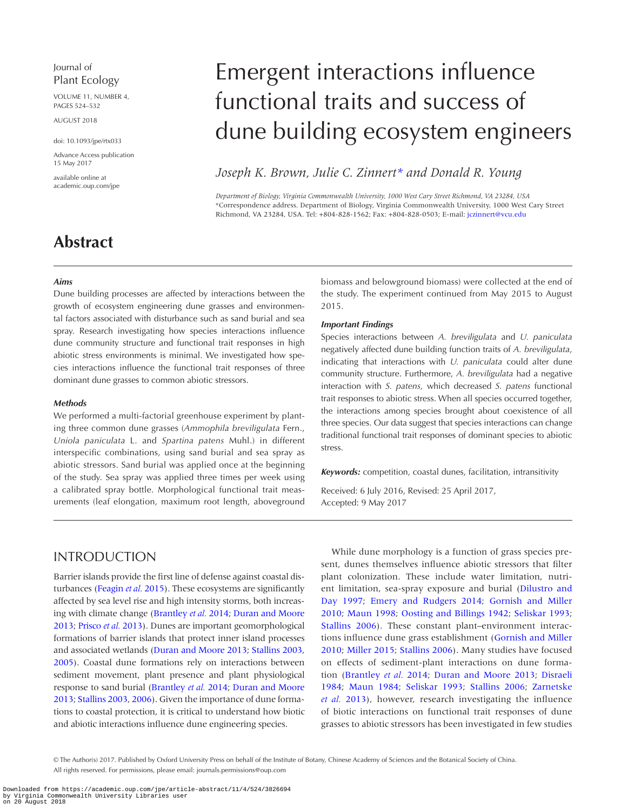## Journal of Plant Ecology

VOLUME 11, NUMBER 4, PAGES 524–532

August 2018

doi: 10.1093/jpe/rtx033

Advance Access publication 15 May 2017

available online at academic.oup.com/jpe

# Emergent interactions influence functional traits and success of dune building ecosystem engineers

*Joseph K. Brown, Julie C. Zinnert[\\*](#page-0-0) and Donald R. Young* 

<span id="page-0-0"></span>*Department of Biology, Virginia Commonwealth University, 1000 West Cary Street Richmond, VA 23284, USA* \*Correspondence address. Department of Biology, Virginia Commonwealth University, 1000 West Cary Street Richmond, VA 23284, USA. Tel: +804-828-1562; Fax: +804-828-0503; E-mail: [jczinnert@vcu.edu](mailto:jczinnert@vcu.edu?subject=)

## **Abstract**

#### *Aims*

Dune building processes are affected by interactions between the growth of ecosystem engineering dune grasses and environmental factors associated with disturbance such as sand burial and sea spray. Research investigating how species interactions influence dune community structure and functional trait responses in high abiotic stress environments is minimal. We investigated how species interactions influence the functional trait responses of three dominant dune grasses to common abiotic stressors.

#### *Methods*

We performed a multi-factorial greenhouse experiment by planting three common dune grasses (*Ammophila breviligulata* Fern., *Uniola paniculata* L. and *Spartina patens* Muhl.) in different interspecific combinations, using sand burial and sea spray as abiotic stressors. Sand burial was applied once at the beginning of the study. Sea spray was applied three times per week using a calibrated spray bottle. Morphological functional trait measurements (leaf elongation, maximum root length, aboveground biomass and belowground biomass) were collected at the end of the study. The experiment continued from May 2015 to August 2015.

#### *Important Findings*

Species interactions between *A. breviligulata* and *U. paniculata* negatively affected dune building function traits of *A. breviligulata*, indicating that interactions with *U. paniculata* could alter dune community structure. Furthermore, *A. breviligulata* had a negative interaction with *S. patens,* which decreased *S. patens* functional trait responses to abiotic stress. When all species occurred together, the interactions among species brought about coexistence of all three species. Our data suggest that species interactions can change traditional functional trait responses of dominant species to abiotic stress.

*Keywords:* competition, coastal dunes, facilitation, intransitivity

Received: 6 July 2016, Revised: 25 April 2017, Accepted: 9 May 2017

## INTRODUCTION

Barrier islands provide the first line of defense against coastal disturbances [\(Feagin](#page-8-0) *et al.* 2015). These ecosystems are significantly affected by sea level rise and high intensity storms, both increasing with climate change ([Brantley](#page-7-0) *et al.* 2014; [Duran and Moore](#page-7-1) [2013;](#page-7-1) [Prisco](#page-8-1) *et al.* 2013). Dunes are important geomorphological formations of barrier islands that protect inner island processes and associated wetlands ([Duran and Moore 2013;](#page-7-1) [Stallins 2003,](#page-8-2) [2005\)](#page-8-3). Coastal dune formations rely on interactions between sediment movement, plant presence and plant physiological response to sand burial ([Brantley](#page-7-0) *et al.* 2014; [Duran and Moore](#page-7-1) [2013;](#page-7-1) [Stallins 2003](#page-8-2), [2006\)](#page-8-4). Given the importance of dune formations to coastal protection, it is critical to understand how biotic and abiotic interactions influence dune engineering species.

While dune morphology is a function of grass species present, dunes themselves influence abiotic stressors that filter plant colonization. These include water limitation, nutrient limitation, sea-spray exposure and burial [\(Dilustro and](#page-7-2) [Day 1997](#page-7-2); [Emery and Rudgers 2014](#page-7-3); [Gornish and Miller](#page-8-5) [2010](#page-8-5); [Maun 1998;](#page-8-6) [Oosting and Billings 1942](#page-8-7); [Seliskar 1993;](#page-8-8) [Stallins 2006](#page-8-4)). These constant plant–environment interactions influence dune grass establishment [\(Gornish and Miller](#page-8-5) [2010](#page-8-5); [Miller 2015;](#page-8-9) [Stallins 2006\)](#page-8-4). Many studies have focused on effects of sediment-plant interactions on dune formation ([Brantley](#page-7-0) *et al.* 2014; [Duran and Moore 2013;](#page-7-1) [Disraeli](#page-7-4) [1984](#page-7-4); [Maun 1984;](#page-8-10) [Seliskar 1993;](#page-8-8) [Stallins 2006](#page-8-4); [Zarnetske](#page-8-11) *et al.* [2013](#page-8-11)), however, research investigating the influence of biotic interactions on functional trait responses of dune grasses to abiotic stressors has been investigated in few studies

<sup>©</sup> The Author(s) 2017. Published by Oxford University Press on behalf of the Institute of Botany, Chinese Academy of Sciences and the Botanical Society of China. All rights reserved. For permissions, please email: journals.permissions@oup.com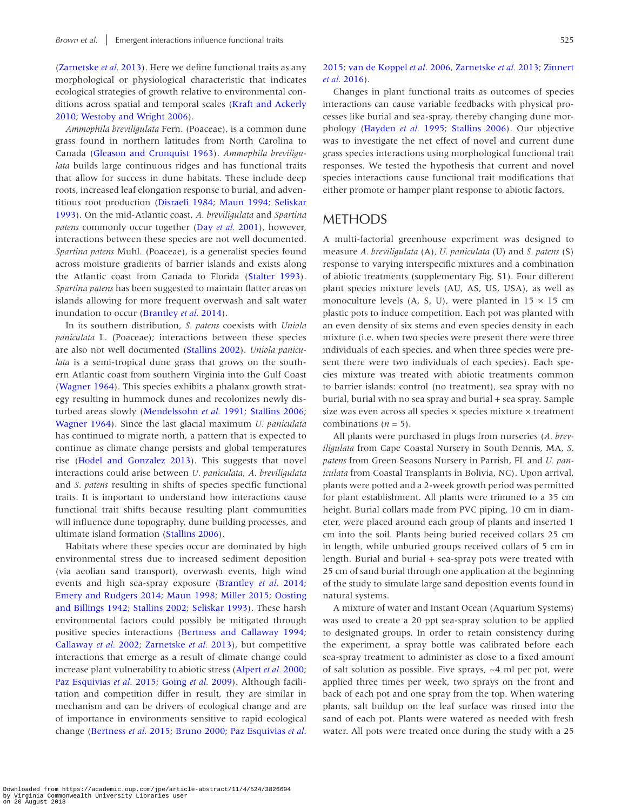[\(Zarnetske](#page-8-11) *et al.* 2013). Here we define functional traits as any morphological or physiological characteristic that indicates ecological strategies of growth relative to environmental conditions across spatial and temporal scales [\(Kraft and Ackerly](#page-8-12)  [2010;](#page-8-12) [Westoby and Wright 2006](#page-8-13)).

*Ammophila breviligulata* Fern. (Poaceae), is a common dune grass found in northern latitudes from North Carolina to Canada [\(Gleason and Cronquist 1963](#page-8-14)). *Ammophila breviligulata* builds large continuous ridges and has functional traits that allow for success in dune habitats. These include deep roots, increased leaf elongation response to burial, and adventitious root production [\(Disraeli 1984;](#page-7-4) [Maun 1994;](#page-8-15) [Seliskar](#page-8-8)  [1993\)](#page-8-8). On the mid-Atlantic coast, *A. breviligulata* and *Spartina patens* commonly occur together (Day *et al.* [2001\)](#page-7-5), however, interactions between these species are not well documented. *Spartina patens* Muhl. (Poaceae), is a generalist species found across moisture gradients of barrier islands and exists along the Atlantic coast from Canada to Florida [\(Stalter 1993\)](#page-8-16). *Spartina patens* has been suggested to maintain flatter areas on islands allowing for more frequent overwash and salt water inundation to occur [\(Brantley](#page-7-0) *et al.* 2014).

In its southern distribution, *S. patens* coexists with *Uniola paniculata* L. (Poaceae); interactions between these species are also not well documented [\(Stallins 2002](#page-8-17)). *Uniola paniculata* is a semi-tropical dune grass that grows on the southern Atlantic coast from southern Virginia into the Gulf Coast [\(Wagner 1964](#page-8-18)). This species exhibits a phalanx growth strategy resulting in hummock dunes and recolonizes newly disturbed areas slowly ([Mendelssohn](#page-8-19) *et al.* 1991; [Stallins 2006](#page-8-4); [Wagner 1964](#page-8-18)). Since the last glacial maximum *U. paniculata* has continued to migrate north, a pattern that is expected to continue as climate change persists and global temperatures rise [\(Hodel and Gonzalez 2013](#page-8-20)). This suggests that novel interactions could arise between *U. paniculata*, *A. breviligulata* and *S. patens* resulting in shifts of species specific functional traits. It is important to understand how interactions cause functional trait shifts because resulting plant communities will influence dune topography, dune building processes, and ultimate island formation ([Stallins 2006](#page-8-4)).

Habitats where these species occur are dominated by high environmental stress due to increased sediment deposition (via aeolian sand transport), overwash events, high wind events and high sea-spray exposure [\(Brantley](#page-7-0) *et al.* 2014; [Emery and Rudgers 2014](#page-7-3); [Maun 1998;](#page-8-6) [Miller 2015;](#page-8-9) [Oosting](#page-8-7)  [and Billings 1942](#page-8-7); [Stallins 2002;](#page-8-17) [Seliskar 1993](#page-8-8)). These harsh environmental factors could possibly be mitigated through positive species interactions ([Bertness and Callaway 1994](#page-7-6); [Callaway](#page-7-7) *et al.* 2002; [Zarnetske](#page-8-11) *et al.* 2013), but competitive interactions that emerge as a result of climate change could increase plant vulnerability to abiotic stress [\(Alpert](#page-7-8) *et al.* 2000; [Paz Esquivias](#page-8-7) *et al*. 2015; [Going](#page-8-21) *et al.* 2009). Although facilitation and competition differ in result, they are similar in mechanism and can be drivers of ecological change and are of importance in environments sensitive to rapid ecological change ([Bertness](#page-7-9) *et al.* 2015; [Bruno 2000;](#page-7-10) [Paz Esquivias](#page-8-7) *et al*.

#### [2015;](#page-8-7) [van de Koppel](#page-8-18) *et al*. 2006, [Zarnetske](#page-8-11) *et al.* 2013; [Zinnert](#page-8-22)  *et al.* [2016\)](#page-8-22).

Changes in plant functional traits as outcomes of species interactions can cause variable feedbacks with physical processes like burial and sea-spray, thereby changing dune morphology [\(Hayden](#page-8-23) *et al.* 1995; [Stallins 2006\)](#page-8-4). Our objective was to investigate the net effect of novel and current dune grass species interactions using morphological functional trait responses. We tested the hypothesis that current and novel species interactions cause functional trait modifications that either promote or hamper plant response to abiotic factors.

## METHODS

A multi-factorial greenhouse experiment was designed to measure *A. breviligulata* (A)*, U. paniculata* (U) and *S. patens* (S) response to varying interspecific mixtures and a combination of abiotic treatments (supplementary Fig. S1). Four different plant species mixture levels (AU, AS, US, USA), as well as monoculture levels (A, S, U), were planted in  $15 \times 15$  cm plastic pots to induce competition. Each pot was planted with an even density of six stems and even species density in each mixture (i.e. when two species were present there were three individuals of each species, and when three species were present there were two individuals of each species). Each species mixture was treated with abiotic treatments common to barrier islands: control (no treatment), sea spray with no burial, burial with no sea spray and burial + sea spray. Sample size was even across all species × species mixture × treatment combinations  $(n = 5)$ .

All plants were purchased in plugs from nurseries (*A. breviligulata* from Cape Coastal Nursery in South Dennis, MA, *S. patens* from Green Seasons Nursery in Parrish, FL and *U. paniculata* from Coastal Transplants in Bolivia, NC). Upon arrival, plants were potted and a 2-week growth period was permitted for plant establishment. All plants were trimmed to a 35 cm height. Burial collars made from PVC piping, 10 cm in diameter, were placed around each group of plants and inserted 1 cm into the soil. Plants being buried received collars 25 cm in length, while unburied groups received collars of 5 cm in length. Burial and burial + sea-spray pots were treated with 25 cm of sand burial through one application at the beginning of the study to simulate large sand deposition events found in natural systems.

A mixture of water and Instant Ocean (Aquarium Systems) was used to create a 20 ppt sea-spray solution to be applied to designated groups. In order to retain consistency during the experiment, a spray bottle was calibrated before each sea-spray treatment to administer as close to a fixed amount of salt solution as possible. Five sprays, ~4 ml per pot, were applied three times per week, two sprays on the front and back of each pot and one spray from the top. When watering plants, salt buildup on the leaf surface was rinsed into the sand of each pot. Plants were watered as needed with fresh water. All pots were treated once during the study with a 25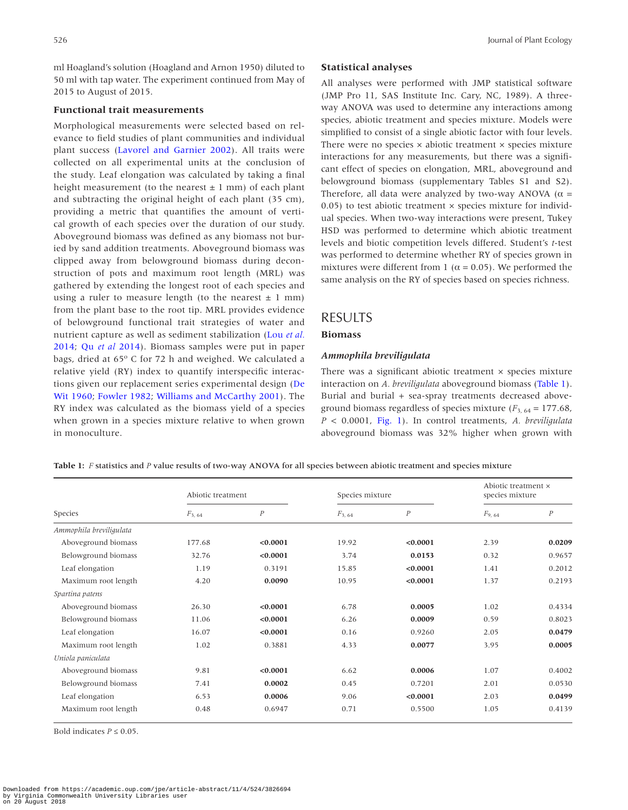ml Hoagland's solution (Hoagland and Arnon 1950) diluted to 50 ml with tap water. The experiment continued from May of 2015 to August of 2015.

#### **Functional trait measurements**

Morphological measurements were selected based on relevance to field studies of plant communities and individual plant success ([Lavorel and Garnier 2002\)](#page-8-24). All traits were collected on all experimental units at the conclusion of the study. Leaf elongation was calculated by taking a final height measurement (to the nearest  $\pm$  1 mm) of each plant and subtracting the original height of each plant (35 cm), providing a metric that quantifies the amount of vertical growth of each species over the duration of our study. Aboveground biomass was defined as any biomass not buried by sand addition treatments. Aboveground biomass was clipped away from belowground biomass during deconstruction of pots and maximum root length (MRL) was gathered by extending the longest root of each species and using a ruler to measure length (to the nearest  $\pm$  1 mm) from the plant base to the root tip. MRL provides evidence of belowground functional trait strategies of water and nutrient capture as well as sediment stabilization ([Lou](#page-8-25) *et al.* [2014;](#page-8-25) Qu *et al* [2014\)](#page-8-26). Biomass samples were put in paper bags, dried at  $65^{\circ}$  C for 72 h and weighed. We calculated a relative yield (RY) index to quantify interspecific interactions given our replacement series experimental design [\(De](#page-7-11) [Wit 1960](#page-7-11); [Fowler 1982](#page-8-27); [Williams and McCarthy 2001](#page-8-28)). The RY index was calculated as the biomass yield of a species when grown in a species mixture relative to when grown in monoculture.

#### **Statistical analyses**

All analyses were performed with JMP statistical software (JMP Pro 11, SAS Institute Inc. Cary, NC, 1989). A threeway ANOVA was used to determine any interactions among species, abiotic treatment and species mixture. Models were simplified to consist of a single abiotic factor with four levels. There were no species  $\times$  abiotic treatment  $\times$  species mixture interactions for any measurements, but there was a significant effect of species on elongation, MRL, aboveground and belowground biomass (supplementary Tables S1 and S2). Therefore, all data were analyzed by two-way ANOVA ( $\alpha$  = 0.05) to test abiotic treatment  $\times$  species mixture for individual species. When two-way interactions were present, Tukey HSD was performed to determine which abiotic treatment levels and biotic competition levels differed. Student's *t*-test was performed to determine whether RY of species grown in mixtures were different from 1 ( $\alpha$  = 0.05). We performed the same analysis on the RY of species based on species richness.

## RESULTS

#### **Biomass**

#### *Ammophila breviligulata*

There was a significant abiotic treatment × species mixture interaction on *A. breviligulata* aboveground biomass [\(Table 1](#page-2-0)). Burial and burial + sea-spray treatments decreased aboveground biomass regardless of species mixture  $(F_{3, 64} = 177.68)$ , *P* < 0.0001, [Fig. 1](#page-3-0)). In control treatments, *A. breviligulata* aboveground biomass was 32% higher when grown with

<span id="page-2-0"></span>**Table 1:** *F* statistics and *P* value results of two-way ANOVA for all species between abiotic treatment and species mixture

| Species                 | Abiotic treatment |                  | Species mixture |                | Abiotic treatment ×<br>species mixture |          |
|-------------------------|-------------------|------------------|-----------------|----------------|----------------------------------------|----------|
|                         | $F_{3,64}$        | $\boldsymbol{P}$ | $F_{3,64}$      | $\overline{P}$ | $F_{9,64}$                             | $\cal P$ |
| Ammophila breviligulata |                   |                  |                 |                |                                        |          |
| Aboveground biomass     | 177.68            | < 0.0001         | 19.92           | < 0.0001       | 2.39                                   | 0.0209   |
| Belowground biomass     | 32.76             | < 0.0001         | 3.74            | 0.0153         | 0.32                                   | 0.9657   |
| Leaf elongation         | 1.19              | 0.3191           | 15.85           | < 0.0001       | 1.41                                   | 0.2012   |
| Maximum root length     | 4.20              | 0.0090           | 10.95           | < 0.0001       | 1.37                                   | 0.2193   |
| Spartina patens         |                   |                  |                 |                |                                        |          |
| Aboveground biomass     | 26.30             | < 0.0001         | 6.78            | 0.0005         | 1.02                                   | 0.4334   |
| Belowground biomass     | 11.06             | < 0.0001         | 6.26            | 0.0009         | 0.59                                   | 0.8023   |
| Leaf elongation         | 16.07             | < 0.0001         | 0.16            | 0.9260         | 2.05                                   | 0.0479   |
| Maximum root length     | 1.02              | 0.3881           | 4.33            | 0.0077         | 3.95                                   | 0.0005   |
| Uniola paniculata       |                   |                  |                 |                |                                        |          |
| Aboveground biomass     | 9.81              | < 0.0001         | 6.62            | 0.0006         | 1.07                                   | 0.4002   |
| Belowground biomass     | 7.41              | 0.0002           | 0.45            | 0.7201         | 2.01                                   | 0.0530   |
| Leaf elongation         | 6.53              | 0.0006           | 9.06            | < 0.0001       | 2.03                                   | 0.0499   |
| Maximum root length     | 0.48              | 0.6947           | 0.71            | 0.5500         | 1.05                                   | 0.4139   |

Bold indicates  $P \leq 0.05$ .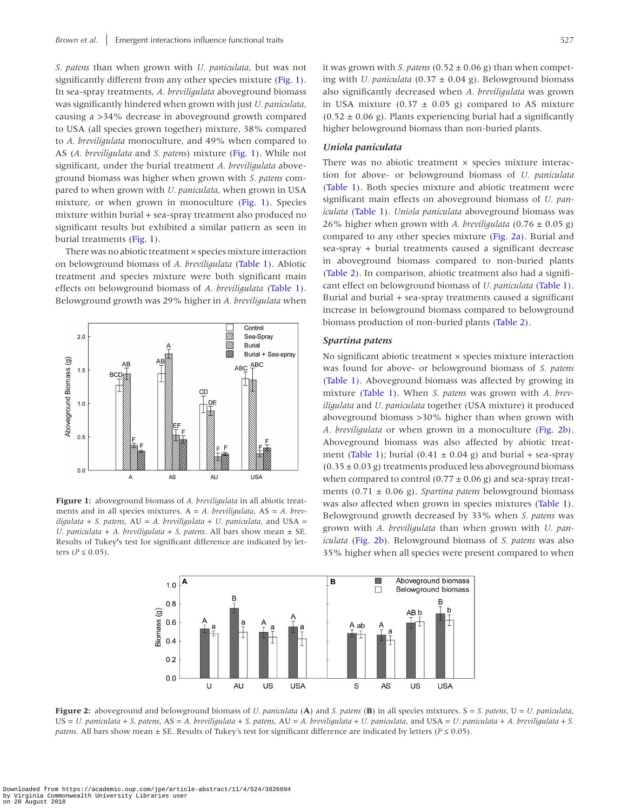*S. patens* than when grown with *U. paniculata*, but was not significantly different from any other species mixture [\(Fig. 1\)](#page-3-0). In sea-spray treatments, *A. breviligulata* aboveground biomass was significantly hindered when grown with just *U. paniculata,* causing a >34% decrease in aboveground growth compared to USA (all species grown together) mixture, 38% compared to *A. breviligulata* monoculture, and 49% when compared to AS (*A. breviligulata* and *S. patens*) mixture [\(Fig. 1\)](#page-3-0). While not significant, under the burial treatment *A. breviligulata* aboveground biomass was higher when grown with *S. patens* compared to when grown with *U. paniculata*, when grown in USA mixture, or when grown in monoculture ([Fig. 1\)](#page-3-0). Species mixture within burial + sea-spray treatment also produced no significant results but exhibited a similar pattern as seen in burial treatments ([Fig. 1\)](#page-3-0).

There was no abiotic treatment × species mixture interaction on belowground biomass of *A. breviligulata* ([Table 1\)](#page-2-0). Abiotic treatment and species mixture were both significant main effects on belowground biomass of *A. breviligulata* ([Table 1\)](#page-2-0). Belowground growth was 29% higher in *A. breviligulata* when



<span id="page-3-0"></span>**Figure 1:** aboveground biomass of *A. breviligulata* in all abiotic treatments and in all species mixtures. A = *A. breviligulata*, AS = *A. breviligulata* + *S. patens*, AU = *A. breviligulata + U. paniculata*, and USA = *U. paniculata* + *A. breviligulata + S. patens*. All bars show mean ± SE. Results of Tukey**'**s test for significant difference are indicated by letters ( $P \le 0.05$ ).

it was grown with *S. patens* ( $0.52 \pm 0.06$  g) than when competing with *U. paniculata*  $(0.37 \pm 0.04 \text{ g})$ . Belowground biomass also significantly decreased when *A. breviligulata* was grown in USA mixture (0.37  $\pm$  0.05 g) compared to AS mixture  $(0.52 \pm 0.06 \text{ g})$ . Plants experiencing burial had a significantly higher belowground biomass than non-buried plants.

#### *Uniola paniculata*

There was no abiotic treatment  $\times$  species mixture interaction for above- or belowground biomass of *U. paniculata* [\(Table 1\)](#page-2-0). Both species mixture and abiotic treatment were significant main effects on aboveground biomass of *U. paniculata* [\(Table 1](#page-2-0)). *Uniola paniculata* aboveground biomass was 26% higher when grown with *A. breviligulata*  $(0.76 \pm 0.05 \text{ g})$ compared to any other species mixture ([Fig. 2a](#page-3-1)). Burial and sea-spray + burial treatments caused a significant decrease in aboveground biomass compared to non-buried plants [\(Table 2\)](#page-4-0). In comparison, abiotic treatment also had a significant effect on belowground biomass of *U. paniculata* ([Table 1\)](#page-2-0). Burial and burial + sea-spray treatments caused a significant increase in belowground biomass compared to belowground biomass production of non-buried plants [\(Table 2](#page-4-0)).

#### *Spartina patens*

No significant abiotic treatment × species mixture interaction was found for above- or belowground biomass of *S. patens* [\(Table 1](#page-2-0)). Aboveground biomass was affected by growing in mixture [\(Table 1\)](#page-2-0). When *S. patens* was grown with *A. breviligulata* and *U. paniculata* together (USA mixture) it produced aboveground biomass >30% higher than when grown with *A. breviligulata* or when grown in a monoculture ([Fig. 2b\)](#page-3-1). Aboveground biomass was also affected by abiotic treat-ment [\(Table 1](#page-2-0)); burial (0.41  $\pm$  0.04 g) and burial + sea-spray  $(0.35 \pm 0.03$  g) treatments produced less aboveground biomass when compared to control  $(0.77 \pm 0.06 \text{ g})$  and sea-spray treatments (0.71 ± 0.06 g). *Spartina patens* belowground biomass was also affected when grown in species mixtures [\(Table 1\)](#page-2-0). Belowground growth decreased by 33% when *S. patens* was grown with *A. breviligulata* than when grown with *U. paniculata* ([Fig. 2b\)](#page-3-1). Belowground biomass of *S. patens* was also 35% higher when all species were present compared to when

<span id="page-3-1"></span>

**Figure 2:** aboveground and belowground biomass of *U. paniculata* (**A**) and *S. patens* (**B**) in all species mixtures. S = *S. patens*, U = *U. paniculata*, US = *U. paniculata* + *S. patens*, AS = *A. breviligulata* + *S. patens*, AU = *A. breviligulata + U. paniculata*, and USA = *U. paniculata* + *A. breviligulata + S. patens*. All bars show mean ± SE. Results of Tukey's test for significant difference are indicated by letters (*P* ≤ 0.05).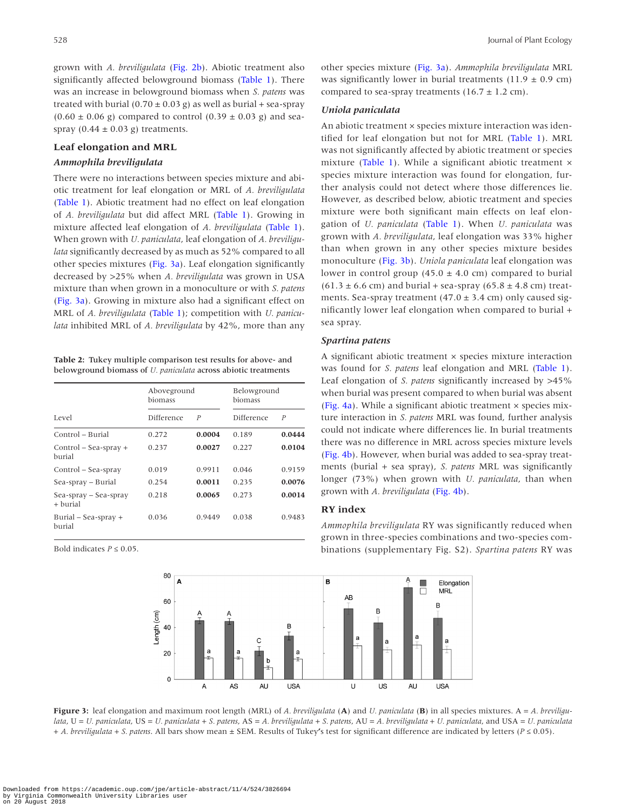grown with *A. breviligulata* ([Fig. 2b\)](#page-3-1). Abiotic treatment also significantly affected belowground biomass [\(Table 1\)](#page-2-0). There was an increase in belowground biomass when *S. patens* was treated with burial ( $0.70 \pm 0.03$  g) as well as burial + sea-spray  $(0.60 \pm 0.06 \text{ g})$  compared to control  $(0.39 \pm 0.03 \text{ g})$  and seaspray  $(0.44 \pm 0.03 \text{ g})$  treatments.

#### **Leaf elongation and MRL**

#### *Ammophila breviligulata*

There were no interactions between species mixture and abiotic treatment for leaf elongation or MRL of *A. breviligulata* ([Table 1\)](#page-2-0). Abiotic treatment had no effect on leaf elongation of *A. breviligulata* but did affect MRL [\(Table 1\)](#page-2-0). Growing in mixture affected leaf elongation of *A. breviligulata* [\(Table 1](#page-2-0)). When grown with *U. paniculata*, leaf elongation of *A. breviligulata* significantly decreased by as much as 52% compared to all other species mixtures ([Fig. 3a](#page-4-1)). Leaf elongation significantly decreased by >25% when *A. breviligulata* was grown in USA mixture than when grown in a monoculture or with *S. patens* ([Fig. 3a\)](#page-4-1). Growing in mixture also had a significant effect on MRL of *A. breviligulata* ([Table 1](#page-2-0)); competition with *U. paniculata* inhibited MRL of *A. breviligulata* by 42%, more than any

<span id="page-4-0"></span>**Table 2:** Tukey multiple comparison test results for above- and belowground biomass of *U. paniculata* across abiotic treatments

|                                     | Aboveground<br>biomass |                  | Belowground<br>biomass |                  |
|-------------------------------------|------------------------|------------------|------------------------|------------------|
| Level                               | Difference             | $\boldsymbol{P}$ | Difference             | $\boldsymbol{P}$ |
| Control – Burial                    | 0.272                  | 0.0004           | 0.189                  | 0.0444           |
| $Control - Sea-sprav +$<br>burial   | 0.237                  | 0.0027           | 0.227                  | 0.0104           |
| Control – Sea-spray                 | 0.019                  | 0.9911           | 0.046                  | 0.9159           |
| Sea-spray – Burial                  | 0.254                  | 0.0011           | 0.235                  | 0.0076           |
| Sea-spray – Sea-spray<br>$+$ burial | 0.218                  | 0.0065           | 0.273                  | 0.0014           |
| Burial $-$ Sea-spray $+$<br>burial  | 0.036                  | 0.9449           | 0.038                  | 0.9483           |

Bold indicates  $P \leq 0.05$ .



#### *Uniola paniculata*

An abiotic treatment × species mixture interaction was identified for leaf elongation but not for MRL [\(Table 1](#page-2-0)). MRL was not significantly affected by abiotic treatment or species mixture (Table 1). While a significant abiotic treatment  $\times$ species mixture interaction was found for elongation, further analysis could not detect where those differences lie. However, as described below, abiotic treatment and species mixture were both significant main effects on leaf elongation of *U. paniculata* ([Table 1](#page-2-0)). When *U. paniculata* was grown with *A. breviligulata*, leaf elongation was 33% higher than when grown in any other species mixture besides monoculture ([Fig. 3b](#page-4-1)). *Uniola paniculata* leaf elongation was lower in control group  $(45.0 \pm 4.0 \text{ cm})$  compared to burial  $(61.3 \pm 6.6 \text{ cm})$  and burial + sea-spray  $(65.8 \pm 4.8 \text{ cm})$  treatments. Sea-spray treatment (47.0  $\pm$  3.4 cm) only caused significantly lower leaf elongation when compared to burial + sea spray.

#### *Spartina patens*

A significant abiotic treatment × species mixture interaction was found for *S. patens* leaf elongation and MRL ([Table 1](#page-2-0)). Leaf elongation of *S. patens* significantly increased by >45% when burial was present compared to when burial was absent ([Fig. 4a\)](#page-5-0). While a significant abiotic treatment  $\times$  species mixture interaction in *S. patens* MRL was found, further analysis could not indicate where differences lie. In burial treatments there was no difference in MRL across species mixture levels ([Fig. 4b](#page-5-0)). However, when burial was added to sea-spray treatments (burial + sea spray), *S. patens* MRL was significantly longer (73%) when grown with *U. paniculata*, than when grown with *A. breviligulata* ([Fig. 4b\)](#page-5-0).

#### **RY index**

*Ammophila breviligulata* RY was significantly reduced when grown in three-species combinations and two-species combinations (supplementary Fig. S2). *Spartina patens* RY was

<span id="page-4-1"></span>

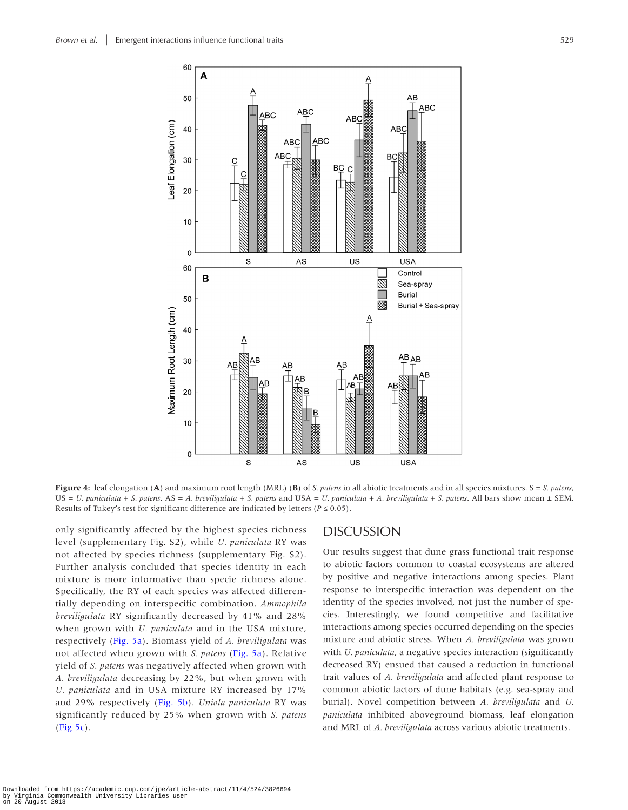

**Figure 4:** leaf elongation (**A**) and maximum root length (MRL) (**B**) of *S. patens* in all abiotic treatments and in all species mixtures. S = *S. patens*, US = *U. paniculata* + *S. patens*, AS = *A. breviligulata* + *S. patens* and USA = *U. paniculata* + *A. breviligulata + S. patens*. All bars show mean ± SEM. Results of Tukey's test for significant difference are indicated by letters ( $P \le 0.05$ ).

only significantly affected by the highest species richness level (supplementary Fig. S2), while *U. paniculata* RY was not affected by species richness (supplementary Fig. S2). Further analysis concluded that species identity in each mixture is more informative than specie richness alone. Specifically, the RY of each species was affected differentially depending on interspecific combination. *Ammophila breviligulata* RY significantly decreased by 41% and 28% when grown with *U. paniculata* and in the USA mixture, respectively [\(Fig. 5a\)](#page-6-0). Biomass yield of *A. breviligulata* was not affected when grown with *S. patens* ([Fig. 5a\)](#page-6-0). Relative yield of *S. patens* was negatively affected when grown with *A. breviligulata* decreasing by 22%, but when grown with *U. paniculata* and in USA mixture RY increased by 17% and 29% respectively ([Fig. 5b](#page-6-0)). *Uniola paniculata* RY was significantly reduced by 25% when grown with *S. patens* ([Fig 5c\)](#page-6-0).

#### <span id="page-5-0"></span>DISCUSSION

Our results suggest that dune grass functional trait response to abiotic factors common to coastal ecosystems are altered by positive and negative interactions among species. Plant response to interspecific interaction was dependent on the identity of the species involved, not just the number of species. Interestingly, we found competitive and facilitative interactions among species occurred depending on the species mixture and abiotic stress. When *A. breviligulata* was grown with *U. paniculata*, a negative species interaction (significantly decreased RY) ensued that caused a reduction in functional trait values of *A. breviligulata* and affected plant response to common abiotic factors of dune habitats (e.g. sea-spray and burial). Novel competition between *A. breviligulata* and *U. paniculata* inhibited aboveground biomass, leaf elongation and MRL of *A. breviligulata* across various abiotic treatments.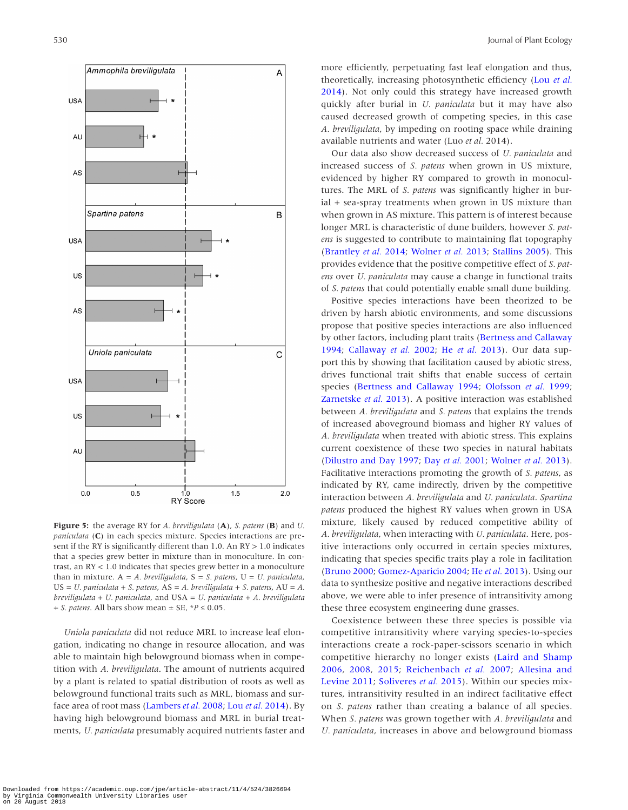

<span id="page-6-0"></span>**Figure 5:** the average RY for *A. breviligulata* (**A**), *S. patens* (**B**) and *U. paniculata* (**C**) in each species mixture. Species interactions are present if the RY is significantly different than 1.0. An RY > 1.0 indicates that a species grew better in mixture than in monoculture. In contrast, an RY < 1.0 indicates that species grew better in a monoculture than in mixture. A = *A. breviligulata*, S = *S. patens*, U = *U. paniculata*, US = *U. paniculata* + *S. patens*, AS = *A. breviligulata* + *S. patens*, AU = *A. breviligulata + U. paniculata*, and USA = *U. paniculata* + *A. breviligulata + S. patens*. All bars show mean ± SE, \**P* ≤ 0.05.

*Uniola paniculata* did not reduce MRL to increase leaf elongation, indicating no change in resource allocation, and was able to maintain high belowground biomass when in competition with *A. breviligulata*. The amount of nutrients acquired by a plant is related to spatial distribution of roots as well as belowground functional traits such as MRL, biomass and surface area of root mass [\(Lambers](#page-8-29) *et al.* 2008; Lou *et al.* [2014](#page-8-25)). By having high belowground biomass and MRL in burial treatments, *U. paniculata* presumably acquired nutrients faster and

more efficiently, perpetuating fast leaf elongation and thus, theoretically, increasing photosynthetic efficiency (Lou *[et al.](#page-8-25)* [2014](#page-8-25)). Not only could this strategy have increased growth quickly after burial in *U. paniculata* but it may have also caused decreased growth of competing species, in this case *A. breviligulata*, by impeding on rooting space while draining available nutrients and water (Luo *et al.* 2014).

Our data also show decreased success of *U. paniculata* and increased success of *S. patens* when grown in US mixture, evidenced by higher RY compared to growth in monocultures. The MRL of *S. patens* was significantly higher in burial + sea-spray treatments when grown in US mixture than when grown in AS mixture. This pattern is of interest because longer MRL is characteristic of dune builders, however *S. patens* is suggested to contribute to maintaining flat topography ([Brantley](#page-7-0) *et al.* 2014; [Wolner](#page-8-30) *et al.* 2013; [Stallins 2005\)](#page-8-3). This provides evidence that the positive competitive effect of *S. patens* over *U. paniculata* may cause a change in functional traits of *S. patens* that could potentially enable small dune building.

Positive species interactions have been theorized to be driven by harsh abiotic environments, and some discussions propose that positive species interactions are also influenced by other factors, including plant traits [\(Bertness and Callaway](#page-7-6) [1994](#page-7-6); [Callaway](#page-7-7) *et al.* 2002; He *et al.* [2013](#page-8-31)). Our data support this by showing that facilitation caused by abiotic stress, drives functional trait shifts that enable success of certain species ([Bertness and Callaway 1994;](#page-7-6) [Olofsson](#page-8-32) *et al.* 1999; [Zarnetske](#page-8-11) *et al.* 2013). A positive interaction was established between *A. breviligulata* and *S. patens* that explains the trends of increased aboveground biomass and higher RY values of *A. breviligulata* when treated with abiotic stress. This explains current coexistence of these two species in natural habitats ([Dilustro and Day 1997](#page-7-2); Day *et al.* [2001;](#page-7-5) [Wolner](#page-8-30) *et al.* 2013). Facilitative interactions promoting the growth of *S. patens*, as indicated by RY, came indirectly, driven by the competitive interaction between *A. breviligulata* and *U. paniculata*. *Spartina patens* produced the highest RY values when grown in USA mixture, likely caused by reduced competitive ability of *A. breviligulata*, when interacting with *U. paniculata*. Here, positive interactions only occurred in certain species mixtures, indicating that species specific traits play a role in facilitation ([Bruno 2000](#page-7-10); [Gomez-Aparicio 2004;](#page-8-33) He *et al.* [2013\)](#page-8-31). Using our data to synthesize positive and negative interactions described above, we were able to infer presence of intransitivity among these three ecosystem engineering dune grasses.

Coexistence between these three species is possible via competitive intransitivity where varying species-to-species interactions create a rock-paper-scissors scenario in which competitive hierarchy no longer exists ([Laird and Shamp](#page-8-34) [2006,](#page-8-34) [2008](#page-8-35), [2015](#page-8-36); [Reichenbach](#page-8-37) *et al.* 2007; [Allesina and](#page-7-12) [Levine 2011](#page-7-12); [Soliveres](#page-8-38) *et al.* 2015). Within our species mixtures, intransitivity resulted in an indirect facilitative effect on *S. patens* rather than creating a balance of all species. When *S. patens* was grown together with *A. breviligulata* and *U. paniculata*, increases in above and belowground biomass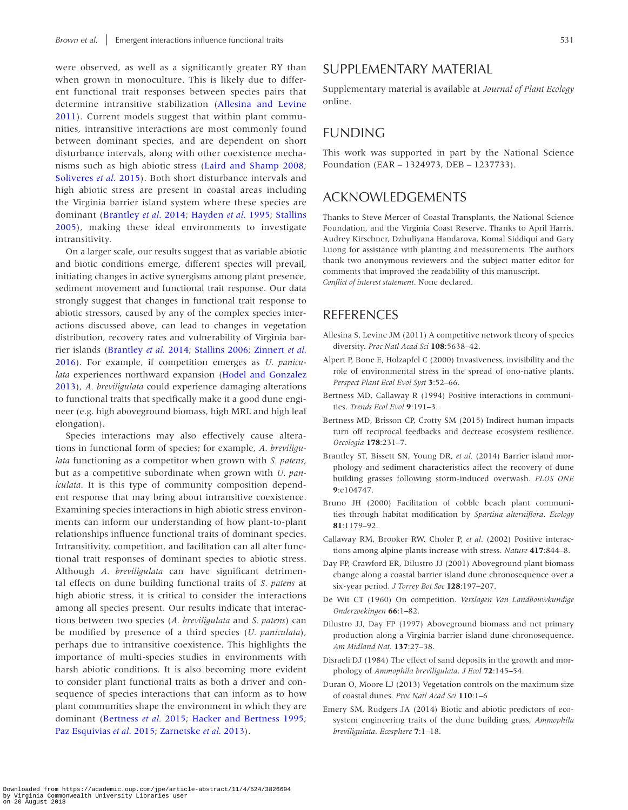were observed, as well as a significantly greater RY than when grown in monoculture. This is likely due to different functional trait responses between species pairs that determine intransitive stabilization [\(Allesina and Levine](#page-7-12)  [2011\)](#page-7-12). Current models suggest that within plant communities, intransitive interactions are most commonly found between dominant species, and are dependent on short disturbance intervals, along with other coexistence mechanisms such as high abiotic stress [\(Laird and Shamp 2008](#page-8-35); [Soliveres](#page-8-38) *et al.* 2015). Both short disturbance intervals and high abiotic stress are present in coastal areas including the Virginia barrier island system where these species are dominant ([Brantley](#page-7-0) *et al.* 2014; [Hayden](#page-8-23) *et al.* 1995; [Stallins](#page-8-3)  [2005\)](#page-8-3), making these ideal environments to investigate intransitivity.

On a larger scale, our results suggest that as variable abiotic and biotic conditions emerge, different species will prevail, initiating changes in active synergisms among plant presence, sediment movement and functional trait response. Our data strongly suggest that changes in functional trait response to abiotic stressors, caused by any of the complex species interactions discussed above, can lead to changes in vegetation distribution, recovery rates and vulnerability of Virginia barrier islands [\(Brantley](#page-7-0) *et al.* 2014; [Stallins 2006](#page-8-4); [Zinnert](#page-8-22) *et al.* [2016\)](#page-8-22). For example, if competition emerges as *U. paniculata* experiences northward expansion ([Hodel and Gonzalez](#page-8-20)  [2013\)](#page-8-20), *A. breviligulata* could experience damaging alterations to functional traits that specifically make it a good dune engineer (e.g. high aboveground biomass, high MRL and high leaf elongation).

Species interactions may also effectively cause alterations in functional form of species; for example, *A. breviligulata* functioning as a competitor when grown with *S. patens*, but as a competitive subordinate when grown with *U. paniculata*. It is this type of community composition dependent response that may bring about intransitive coexistence. Examining species interactions in high abiotic stress environments can inform our understanding of how plant-to-plant relationships influence functional traits of dominant species. Intransitivity, competition, and facilitation can all alter functional trait responses of dominant species to abiotic stress. Although *A. breviligulata* can have significant detrimental effects on dune building functional traits of *S. patens* at high abiotic stress, it is critical to consider the interactions among all species present. Our results indicate that interactions between two species (*A. breviligulata* and *S. patens*) can be modified by presence of a third species (*U. paniculata*), perhaps due to intransitive coexistence. This highlights the importance of multi-species studies in environments with harsh abiotic conditions. It is also becoming more evident to consider plant functional traits as both a driver and consequence of species interactions that can inform as to how plant communities shape the environment in which they are dominant ([Bertness](#page-7-9) *et al.* 2015; [Hacker and Bertness 1995](#page-8-39); [Paz Esquivias](#page-8-7) *et al*. 2015; [Zarnetske](#page-8-11) *et al.* 2013).

## SUPPLEMENTARY MATERIAL

Supplementary material is available at *Journal of Plant Ecology* online.

### FUNDING

This work was supported in part by the National Science Foundation (EAR – 1324973, DEB – 1237733).

## ACKNOWLEDGEMENTS

Thanks to Steve Mercer of Coastal Transplants, the National Science Foundation, and the Virginia Coast Reserve. Thanks to April Harris, Audrey Kirschner, Dzhuliyana Handarova, Komal Siddiqui and Gary Luong for assistance with planting and measurements. The authors thank two anonymous reviewers and the subject matter editor for comments that improved the readability of this manuscript. *Conflict of interest statement*. None declared.

## REFERENCES

- <span id="page-7-12"></span>Allesina S, Levine JM (2011) A competitive network theory of species diversity. *Proc Natl Acad Sci* **108**:5638–42.
- <span id="page-7-8"></span>Alpert P, Bone E, Holzapfel C (2000) Invasiveness, invisibility and the role of environmental stress in the spread of ono-native plants. *Perspect Plant Ecol Evol Syst* **3**:52–66.
- <span id="page-7-6"></span>Bertness MD, Callaway R (1994) Positive interactions in communities. *Trends Ecol Evol* **9**:191–3.
- <span id="page-7-9"></span>Bertness MD, Brisson CP, Crotty SM (2015) Indirect human impacts turn off reciprocal feedbacks and decrease ecosystem resilience. *Oecologia* **178**:231–7.
- <span id="page-7-0"></span>Brantley ST, Bissett SN, Young DR, *et al.* (2014) Barrier island morphology and sediment characteristics affect the recovery of dune building grasses following storm-induced overwash. *PLOS ONE* **9**:e104747.
- <span id="page-7-10"></span>Bruno JH (2000) Facilitation of cobble beach plant communities through habitat modification by *Spartina alterniflora*. *Ecology* **81**:1179–92.
- <span id="page-7-7"></span>Callaway RM, Brooker RW, Choler P, *et al*. (2002) Positive interactions among alpine plants increase with stress. *Nature* **417**:844–8.
- <span id="page-7-5"></span>Day FP, Crawford ER, Dilustro JJ (2001) Aboveground plant biomass change along a coastal barrier island dune chronosequence over a six-year period. *J Torrey Bot Soc* **128**:197–207.
- <span id="page-7-11"></span>De Wit CT (1960) On competition. *Verslagen Van Landbouwkundige Onderzoekingen* **66**:1–82.
- <span id="page-7-2"></span>Dilustro JJ, Day FP (1997) Aboveground biomass and net primary production along a Virginia barrier island dune chronosequence. *Am Midland Nat*. **137**:27–38.
- <span id="page-7-4"></span>Disraeli DJ (1984) The effect of sand deposits in the growth and morphology of *Ammophila breviligulata*. *J Ecol* **72**:145–54.
- <span id="page-7-1"></span>Duran O, Moore LJ (2013) Vegetation controls on the maximum size of coastal dunes. *Proc Natl Acad Sci* **110**:1–6
- <span id="page-7-3"></span>Emery SM, Rudgers JA (2014) Biotic and abiotic predictors of ecosystem engineering traits of the dune building grass, *Ammophila breviligulata*. *Ecosphere* **7**:1–18.